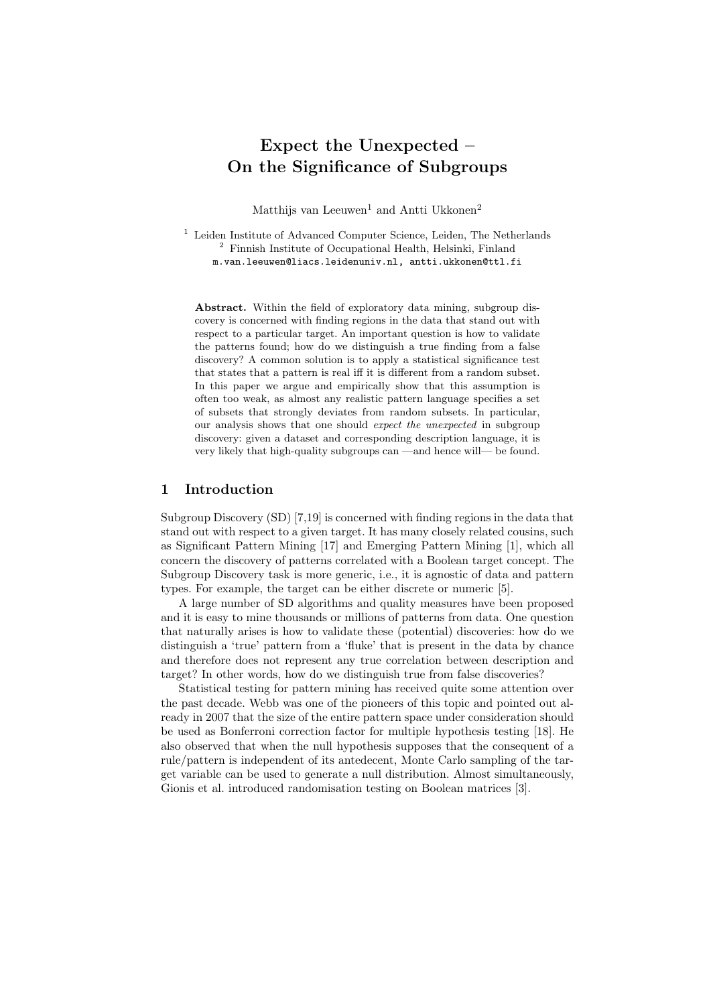# Expect the Unexpected – On the Significance of Subgroups

Matthijs van Leeuwen<sup>1</sup> and Antti Ukkonen<sup>2</sup>

<sup>1</sup> Leiden Institute of Advanced Computer Science, Leiden, The Netherlands <sup>2</sup> Finnish Institute of Occupational Health, Helsinki, Finland m.van.leeuwen@liacs.leidenuniv.nl, antti.ukkonen@ttl.fi

Abstract. Within the field of exploratory data mining, subgroup discovery is concerned with finding regions in the data that stand out with respect to a particular target. An important question is how to validate the patterns found; how do we distinguish a true finding from a false discovery? A common solution is to apply a statistical significance test that states that a pattern is real iff it is different from a random subset. In this paper we argue and empirically show that this assumption is often too weak, as almost any realistic pattern language specifies a set of subsets that strongly deviates from random subsets. In particular, our analysis shows that one should expect the unexpected in subgroup discovery: given a dataset and corresponding description language, it is very likely that high-quality subgroups can —and hence will— be found.

### 1 Introduction

Subgroup Discovery (SD) [7,19] is concerned with finding regions in the data that stand out with respect to a given target. It has many closely related cousins, such as Significant Pattern Mining [17] and Emerging Pattern Mining [1], which all concern the discovery of patterns correlated with a Boolean target concept. The Subgroup Discovery task is more generic, i.e., it is agnostic of data and pattern types. For example, the target can be either discrete or numeric [5].

A large number of SD algorithms and quality measures have been proposed and it is easy to mine thousands or millions of patterns from data. One question that naturally arises is how to validate these (potential) discoveries: how do we distinguish a 'true' pattern from a 'fluke' that is present in the data by chance and therefore does not represent any true correlation between description and target? In other words, how do we distinguish true from false discoveries?

Statistical testing for pattern mining has received quite some attention over the past decade. Webb was one of the pioneers of this topic and pointed out already in 2007 that the size of the entire pattern space under consideration should be used as Bonferroni correction factor for multiple hypothesis testing [18]. He also observed that when the null hypothesis supposes that the consequent of a rule/pattern is independent of its antedecent, Monte Carlo sampling of the target variable can be used to generate a null distribution. Almost simultaneously, Gionis et al. introduced randomisation testing on Boolean matrices [3].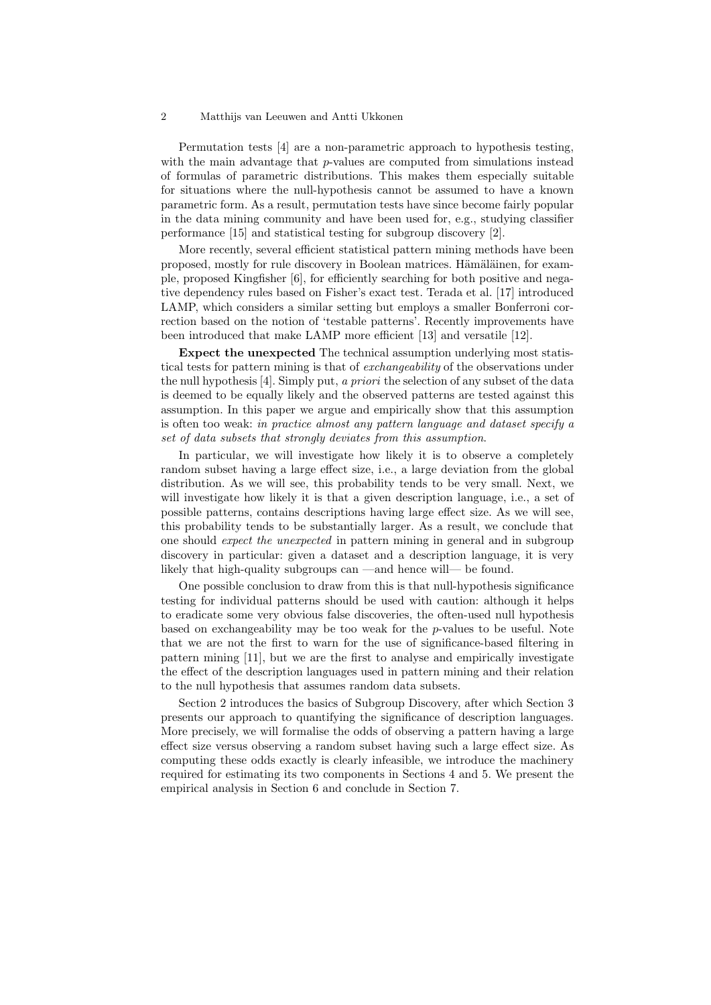Permutation tests [4] are a non-parametric approach to hypothesis testing, with the main advantage that  $p$ -values are computed from simulations instead of formulas of parametric distributions. This makes them especially suitable for situations where the null-hypothesis cannot be assumed to have a known parametric form. As a result, permutation tests have since become fairly popular in the data mining community and have been used for, e.g., studying classifier performance [15] and statistical testing for subgroup discovery [2].

More recently, several efficient statistical pattern mining methods have been proposed, mostly for rule discovery in Boolean matrices. Hämäläinen, for example, proposed Kingfisher [6], for efficiently searching for both positive and negative dependency rules based on Fisher's exact test. Terada et al. [17] introduced LAMP, which considers a similar setting but employs a smaller Bonferroni correction based on the notion of 'testable patterns'. Recently improvements have been introduced that make LAMP more efficient [13] and versatile [12].

Expect the unexpected The technical assumption underlying most statistical tests for pattern mining is that of exchangeability of the observations under the null hypothesis [4]. Simply put, a priori the selection of any subset of the data is deemed to be equally likely and the observed patterns are tested against this assumption. In this paper we argue and empirically show that this assumption is often too weak: in practice almost any pattern language and dataset specify a set of data subsets that strongly deviates from this assumption.

In particular, we will investigate how likely it is to observe a completely random subset having a large effect size, i.e., a large deviation from the global distribution. As we will see, this probability tends to be very small. Next, we will investigate how likely it is that a given description language, i.e., a set of possible patterns, contains descriptions having large effect size. As we will see, this probability tends to be substantially larger. As a result, we conclude that one should expect the unexpected in pattern mining in general and in subgroup discovery in particular: given a dataset and a description language, it is very likely that high-quality subgroups can —and hence will— be found.

One possible conclusion to draw from this is that null-hypothesis significance testing for individual patterns should be used with caution: although it helps to eradicate some very obvious false discoveries, the often-used null hypothesis based on exchangeability may be too weak for the p-values to be useful. Note that we are not the first to warn for the use of significance-based filtering in pattern mining [11], but we are the first to analyse and empirically investigate the effect of the description languages used in pattern mining and their relation to the null hypothesis that assumes random data subsets.

Section 2 introduces the basics of Subgroup Discovery, after which Section 3 presents our approach to quantifying the significance of description languages. More precisely, we will formalise the odds of observing a pattern having a large effect size versus observing a random subset having such a large effect size. As computing these odds exactly is clearly infeasible, we introduce the machinery required for estimating its two components in Sections 4 and 5. We present the empirical analysis in Section 6 and conclude in Section 7.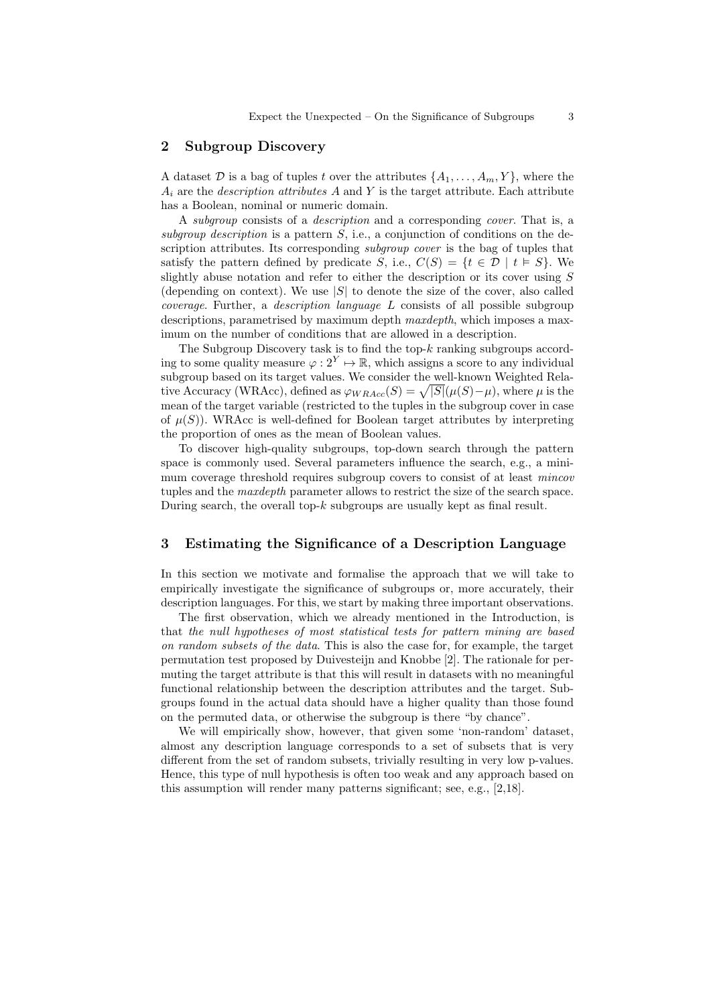### 2 Subgroup Discovery

A dataset D is a bag of tuples t over the attributes  $\{A_1, \ldots, A_m, Y\}$ , where the  $A_i$  are the *description attributes* A and Y is the target attribute. Each attribute has a Boolean, nominal or numeric domain.

A subgroup consists of a description and a corresponding cover. That is, a subgroup description is a pattern  $S$ , i.e., a conjunction of conditions on the description attributes. Its corresponding *subgroup cover* is the bag of tuples that satisfy the pattern defined by predicate S, i.e.,  $C(S) = \{t \in \mathcal{D} \mid t \models S\}$ . We slightly abuse notation and refer to either the description or its cover using S (depending on context). We use  $|S|$  to denote the size of the cover, also called coverage. Further, a description language L consists of all possible subgroup descriptions, parametrised by maximum depth *maxdepth*, which imposes a maximum on the number of conditions that are allowed in a description.

The Subgroup Discovery task is to find the top-k ranking subgroups according to some quality measure  $\varphi: 2^Y \mapsto \mathbb{R}$ , which assigns a score to any individual subgroup based on its target values. We consider the well-known Weighted Relative Accuracy (WRAcc), defined as  $\varphi_{WRAcc}(S) = \sqrt{|S|}(\mu(S)-\mu)$ , where  $\mu$  is the mean of the target variable (restricted to the tuples in the subgroup cover in case of  $\mu(S)$ ). WRAcc is well-defined for Boolean target attributes by interpreting the proportion of ones as the mean of Boolean values.

To discover high-quality subgroups, top-down search through the pattern space is commonly used. Several parameters influence the search, e.g., a minimum coverage threshold requires subgroup covers to consist of at least *mincov* tuples and the *maxdepth* parameter allows to restrict the size of the search space. During search, the overall top- $k$  subgroups are usually kept as final result.

### 3 Estimating the Significance of a Description Language

In this section we motivate and formalise the approach that we will take to empirically investigate the significance of subgroups or, more accurately, their description languages. For this, we start by making three important observations.

The first observation, which we already mentioned in the Introduction, is that the null hypotheses of most statistical tests for pattern mining are based on random subsets of the data. This is also the case for, for example, the target permutation test proposed by Duivesteijn and Knobbe [2]. The rationale for permuting the target attribute is that this will result in datasets with no meaningful functional relationship between the description attributes and the target. Subgroups found in the actual data should have a higher quality than those found on the permuted data, or otherwise the subgroup is there "by chance".

We will empirically show, however, that given some 'non-random' dataset, almost any description language corresponds to a set of subsets that is very different from the set of random subsets, trivially resulting in very low p-values. Hence, this type of null hypothesis is often too weak and any approach based on this assumption will render many patterns significant; see, e.g., [2,18].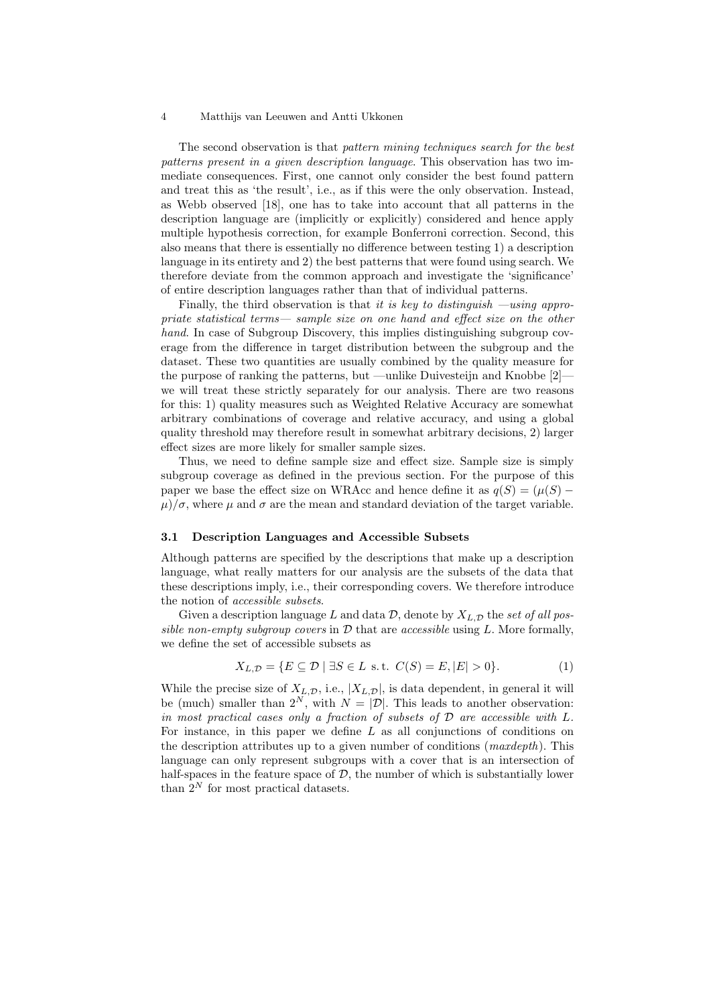The second observation is that pattern mining techniques search for the best patterns present in a given description language. This observation has two immediate consequences. First, one cannot only consider the best found pattern and treat this as 'the result', i.e., as if this were the only observation. Instead, as Webb observed [18], one has to take into account that all patterns in the description language are (implicitly or explicitly) considered and hence apply multiple hypothesis correction, for example Bonferroni correction. Second, this also means that there is essentially no difference between testing 1) a description language in its entirety and 2) the best patterns that were found using search. We therefore deviate from the common approach and investigate the 'significance' of entire description languages rather than that of individual patterns.

Finally, the third observation is that it is key to distinguish —using appropriate statistical terms— sample size on one hand and effect size on the other hand. In case of Subgroup Discovery, this implies distinguishing subgroup coverage from the difference in target distribution between the subgroup and the dataset. These two quantities are usually combined by the quality measure for the purpose of ranking the patterns, but —unlike Duivesteijn and Knobbe  $[2]$ we will treat these strictly separately for our analysis. There are two reasons for this: 1) quality measures such as Weighted Relative Accuracy are somewhat arbitrary combinations of coverage and relative accuracy, and using a global quality threshold may therefore result in somewhat arbitrary decisions, 2) larger effect sizes are more likely for smaller sample sizes.

Thus, we need to define sample size and effect size. Sample size is simply subgroup coverage as defined in the previous section. For the purpose of this paper we base the effect size on WRAcc and hence define it as  $q(S) = (\mu(S) \mu$ / $\sigma$ , where  $\mu$  and  $\sigma$  are the mean and standard deviation of the target variable.

### 3.1 Description Languages and Accessible Subsets

Although patterns are specified by the descriptions that make up a description language, what really matters for our analysis are the subsets of the data that these descriptions imply, i.e., their corresponding covers. We therefore introduce the notion of accessible subsets.

Given a description language L and data  $\mathcal{D}$ , denote by  $X_{L,\mathcal{D}}$  the set of all possible non-empty subgroup covers in  $\mathcal D$  that are accessible using L. More formally, we define the set of accessible subsets as

$$
X_{L,\mathcal{D}} = \{ E \subseteq \mathcal{D} \mid \exists S \in L \text{ s.t. } C(S) = E, |E| > 0 \}. \tag{1}
$$

While the precise size of  $X_{L,\mathcal{D}}$ , i.e.,  $|X_{L,\mathcal{D}}|$ , is data dependent, in general it will be (much) smaller than  $2^N$ , with  $N = |\mathcal{D}|$ . This leads to another observation: in most practical cases only a fraction of subsets of  $D$  are accessible with  $L$ . For instance, in this paper we define  $L$  as all conjunctions of conditions on the description attributes up to a given number of conditions  $(maxdepth)$ . This language can only represent subgroups with a cover that is an intersection of half-spaces in the feature space of  $D$ , the number of which is substantially lower than  $2^N$  for most practical datasets.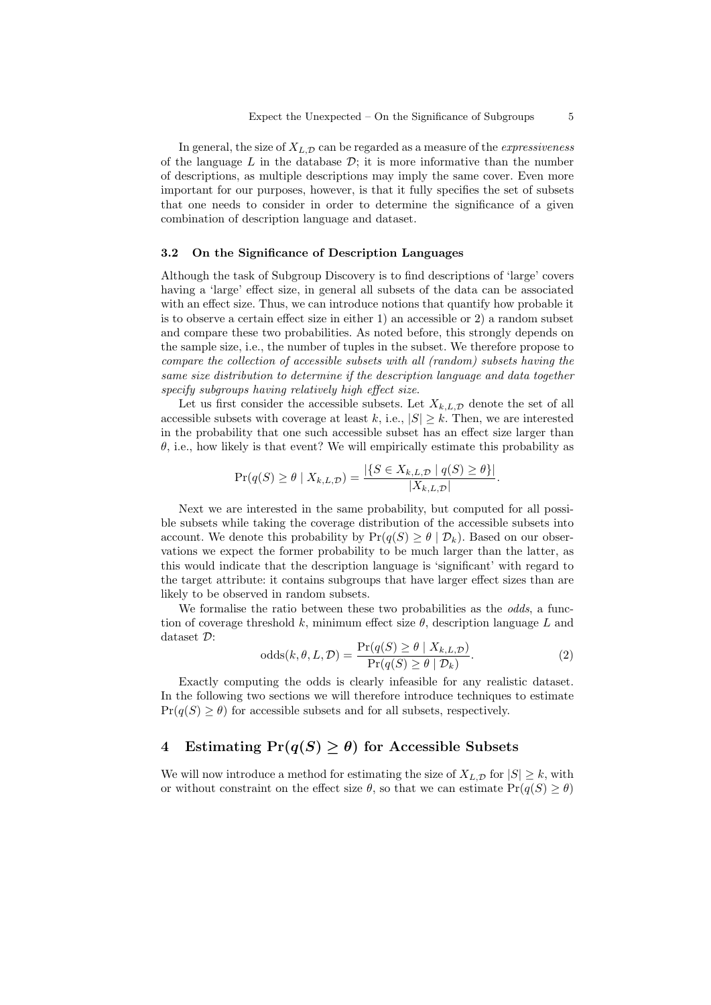In general, the size of  $X_{L,\mathcal{D}}$  can be regarded as a measure of the *expressiveness* of the language  $L$  in the database  $\mathcal{D}$ ; it is more informative than the number of descriptions, as multiple descriptions may imply the same cover. Even more important for our purposes, however, is that it fully specifies the set of subsets that one needs to consider in order to determine the significance of a given combination of description language and dataset.

### 3.2 On the Significance of Description Languages

Although the task of Subgroup Discovery is to find descriptions of 'large' covers having a 'large' effect size, in general all subsets of the data can be associated with an effect size. Thus, we can introduce notions that quantify how probable it is to observe a certain effect size in either 1) an accessible or 2) a random subset and compare these two probabilities. As noted before, this strongly depends on the sample size, i.e., the number of tuples in the subset. We therefore propose to compare the collection of accessible subsets with all (random) subsets having the same size distribution to determine if the description language and data together specify subgroups having relatively high effect size.

Let us first consider the accessible subsets. Let  $X_{k,L,\mathcal{D}}$  denote the set of all accessible subsets with coverage at least k, i.e.,  $|S| \geq k$ . Then, we are interested in the probability that one such accessible subset has an effect size larger than  $\theta$ , i.e., how likely is that event? We will empirically estimate this probability as

$$
\Pr(q(S) \geq \theta \mid X_{k,L,\mathcal{D}}) = \frac{|\{S \in X_{k,L,\mathcal{D}} \mid q(S) \geq \theta\}|}{|X_{k,L,\mathcal{D}}|}.
$$

Next we are interested in the same probability, but computed for all possible subsets while taking the coverage distribution of the accessible subsets into account. We denote this probability by  $Pr(q(S) \geq \theta | \mathcal{D}_k)$ . Based on our observations we expect the former probability to be much larger than the latter, as this would indicate that the description language is 'significant' with regard to the target attribute: it contains subgroups that have larger effect sizes than are likely to be observed in random subsets.

We formalise the ratio between these two probabilities as the *odds*, a function of coverage threshold k, minimum effect size  $\theta$ , description language L and dataset D:

$$
\text{odds}(k, \theta, L, \mathcal{D}) = \frac{\Pr(q(S) \ge \theta \mid X_{k, L, \mathcal{D}})}{\Pr(q(S) \ge \theta \mid \mathcal{D}_k)}.
$$
\n<sup>(2)</sup>

Exactly computing the odds is clearly infeasible for any realistic dataset. In the following two sections we will therefore introduce techniques to estimate  $Pr(q(S) > \theta)$  for accessible subsets and for all subsets, respectively.

# 4 Estimating  $Pr(q(S) > \theta)$  for Accessible Subsets

We will now introduce a method for estimating the size of  $X_{L,\mathcal{D}}$  for  $|S| \geq k$ , with or without constraint on the effect size  $\theta$ , so that we can estimate  $Pr(q(S) \geq \theta)$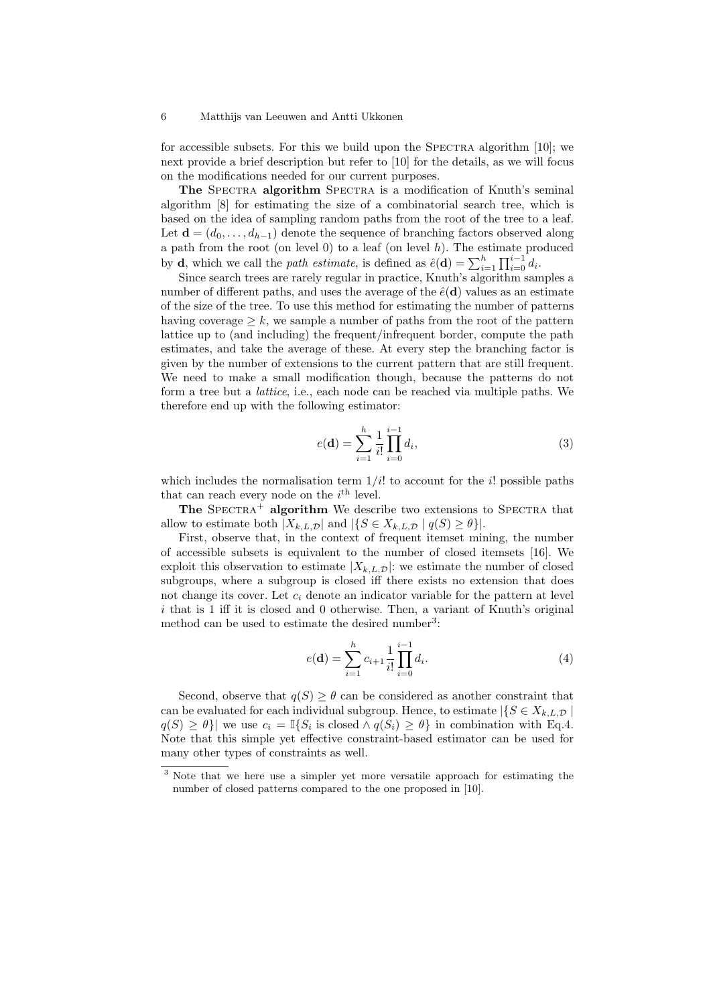for accessible subsets. For this we build upon the Spectra algorithm [10]; we next provide a brief description but refer to [10] for the details, as we will focus on the modifications needed for our current purposes.

The SPECTRA algorithm SPECTRA is a modification of Knuth's seminal algorithm [8] for estimating the size of a combinatorial search tree, which is based on the idea of sampling random paths from the root of the tree to a leaf. Let  $\mathbf{d} = (d_0, \ldots, d_{h-1})$  denote the sequence of branching factors observed along a path from the root (on level  $0$ ) to a leaf (on level  $h$ ). The estimate produced by **d**, which we call the *path estimate*, is defined as  $\hat{e}(\mathbf{d}) = \sum_{i=1}^{h} \prod_{i=0}^{i-1} d_i$ .

Since search trees are rarely regular in practice, Knuth's algorithm samples a number of different paths, and uses the average of the  $\hat{e}(\mathbf{d})$  values as an estimate of the size of the tree. To use this method for estimating the number of patterns having coverage  $\geq k$ , we sample a number of paths from the root of the pattern lattice up to (and including) the frequent/infrequent border, compute the path estimates, and take the average of these. At every step the branching factor is given by the number of extensions to the current pattern that are still frequent. We need to make a small modification though, because the patterns do not form a tree but a lattice, i.e., each node can be reached via multiple paths. We therefore end up with the following estimator:

$$
e(\mathbf{d}) = \sum_{i=1}^{h} \frac{1}{i!} \prod_{i=0}^{i-1} d_i,
$$
 (3)

which includes the normalisation term  $1/i!$  to account for the i! possible paths that can reach every node on the  $i<sup>th</sup>$  level.

The SPECTRA<sup>+</sup> algorithm We describe two extensions to SPECTRA that allow to estimate both  $|X_{k,L,\mathcal{D}}|$  and  $|\{S \in X_{k,L,\mathcal{D}} | q(S) \geq \theta\}|$ .

First, observe that, in the context of frequent itemset mining, the number of accessible subsets is equivalent to the number of closed itemsets [16]. We exploit this observation to estimate  $|X_{k,L,\mathcal{D}}|$ : we estimate the number of closed subgroups, where a subgroup is closed iff there exists no extension that does not change its cover. Let  $c_i$  denote an indicator variable for the pattern at level  $i$  that is 1 iff it is closed and 0 otherwise. Then, a variant of Knuth's original method can be used to estimate the desired number<sup>3</sup>:

$$
e(\mathbf{d}) = \sum_{i=1}^{h} c_{i+1} \frac{1}{i!} \prod_{i=0}^{i-1} d_i.
$$
 (4)

Second, observe that  $q(S) \geq \theta$  can be considered as another constraint that can be evaluated for each individual subgroup. Hence, to estimate  $|\{S \in X_{k,L,D}\}\rangle$  $q(S) \geq \theta$ } we use  $c_i = \mathbb{I}\{S_i \text{ is closed } \wedge q(S_i) \geq \theta\}$  in combination with Eq.4. Note that this simple yet effective constraint-based estimator can be used for many other types of constraints as well.

<sup>&</sup>lt;sup>3</sup> Note that we here use a simpler yet more versatile approach for estimating the number of closed patterns compared to the one proposed in [10].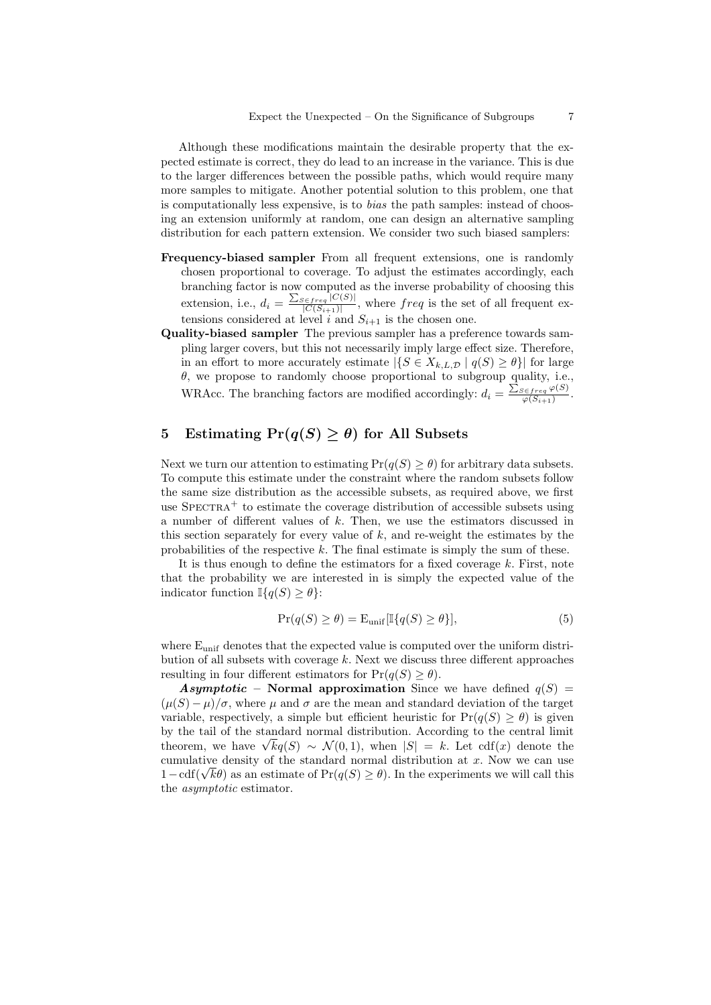Although these modifications maintain the desirable property that the expected estimate is correct, they do lead to an increase in the variance. This is due to the larger differences between the possible paths, which would require many more samples to mitigate. Another potential solution to this problem, one that is computationally less expensive, is to bias the path samples: instead of choosing an extension uniformly at random, one can design an alternative sampling distribution for each pattern extension. We consider two such biased samplers:

- Frequency-biased sampler From all frequent extensions, one is randomly chosen proportional to coverage. To adjust the estimates accordingly, each branching factor is now computed as the inverse probability of choosing this extension, i.e.,  $d_i = \frac{\sum_{S \in freq} |C(S)|}{|C(S_{i+1})|}$  $\frac{|C(S_i+1)|}{|C(S_{i+1})|}$ , where  $freq$  is the set of all frequent extensions considered at level i and  $S_{i+1}$  is the chosen one.
- Quality-biased sampler The previous sampler has a preference towards sampling larger covers, but this not necessarily imply large effect size. Therefore, in an effort to more accurately estimate  $|\{S \in X_{k,L,\mathcal{D}} \mid q(S) \geq \theta\}|$  for large  $\theta$ , we propose to randomly choose proportional to subgroup quality, i.e., WRAcc. The branching factors are modified accordingly:  $d_i = \frac{\sum_{S \in freq} \varphi(S)}{\varphi(S_{i+1})}$  $\frac{\partial \in freq \times (D)}{\varphi(S_{i+1})}$ .

# 5 Estimating  $Pr(q(S) \geq \theta)$  for All Subsets

Next we turn our attention to estimating  $Pr(q(S) \geq \theta)$  for arbitrary data subsets. To compute this estimate under the constraint where the random subsets follow the same size distribution as the accessible subsets, as required above, we first use  $SPECTRA<sup>+</sup>$  to estimate the coverage distribution of accessible subsets using a number of different values of k. Then, we use the estimators discussed in this section separately for every value of  $k$ , and re-weight the estimates by the probabilities of the respective  $k$ . The final estimate is simply the sum of these.

It is thus enough to define the estimators for a fixed coverage k. First, note that the probability we are interested in is simply the expected value of the indicator function  $\mathbb{I}\{q(S) \geq \theta\}$ :

$$
\Pr(q(S) \ge \theta) = \mathcal{E}_{\text{unif}}[\mathbb{I}\{q(S) \ge \theta\}],\tag{5}
$$

where  $E_{\text{unif}}$  denotes that the expected value is computed over the uniform distribution of all subsets with coverage k. Next we discuss three different approaches resulting in four different estimators for  $Pr(q(S) \geq \theta)$ .

Asymptotic – Normal approximation Since we have defined  $q(S)$  =  $(\mu(S) - \mu)/\sigma$ , where  $\mu$  and  $\sigma$  are the mean and standard deviation of the target variable, respectively, a simple but efficient heuristic for  $Pr(q(S) \geq \theta)$  is given by the tail of the standard normal distribution. According to the central limit by the tail of the standard normal distribution. According to the central limit<br>theorem, we have  $\sqrt{kq}(S) \sim \mathcal{N}(0,1)$ , when  $|S| = k$ . Let cdf(x) denote the cumulative density of the standard normal distribution at  $x$ . Now we can use cumulative density of the standard normal distribution at x. Now we can use  $1-\text{cdf}(\sqrt{k}\theta)$  as an estimate of  $\Pr(q(S) \geq \theta)$ . In the experiments we will call this the asymptotic estimator.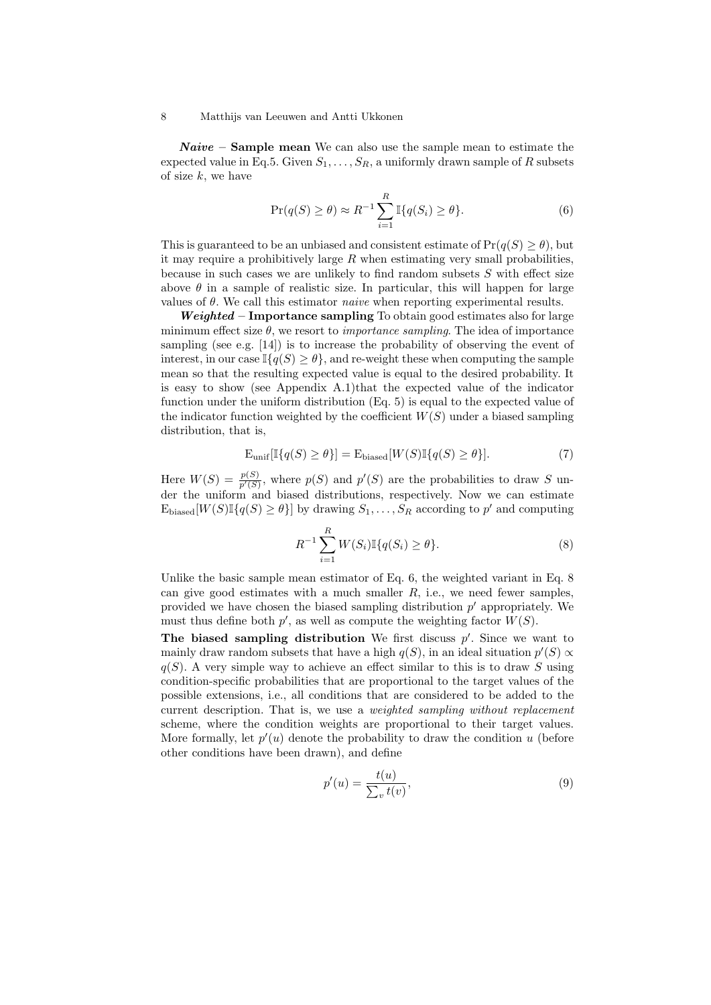**Naive – Sample mean** We can also use the sample mean to estimate the expected value in Eq.5. Given  $S_1, \ldots, S_R$ , a uniformly drawn sample of R subsets of size  $k$ , we have

$$
\Pr(q(S) \ge \theta) \approx R^{-1} \sum_{i=1}^{R} \mathbb{I}\{q(S_i) \ge \theta\}.
$$
 (6)

This is guaranteed to be an unbiased and consistent estimate of  $Pr(q(S) \geq \theta)$ , but it may require a prohibitively large  $R$  when estimating very small probabilities, because in such cases we are unlikely to find random subsets  $S$  with effect size above  $\theta$  in a sample of realistic size. In particular, this will happen for large values of  $\theta$ . We call this estimator *naive* when reporting experimental results.

 $Weighted$  – Importance sampling To obtain good estimates also for large minimum effect size  $\theta$ , we resort to *importance sampling*. The idea of importance sampling (see e.g. [14]) is to increase the probability of observing the event of interest, in our case  $\mathbb{I}\{q(S) \geq \theta\}$ , and re-weight these when computing the sample mean so that the resulting expected value is equal to the desired probability. It is easy to show (see Appendix  $A.1$ )that the expected value of the indicator function under the uniform distribution (Eq. 5) is equal to the expected value of the indicator function weighted by the coefficient  $W(S)$  under a biased sampling distribution, that is,

$$
E_{\text{unif}}[\mathbb{I}\{q(S)\geq\theta\}] = E_{\text{biased}}[W(S)\mathbb{I}\{q(S)\geq\theta\}].\tag{7}
$$

Here  $W(S) = \frac{p(S)}{p'(S)}$ , where  $p(S)$  and  $p'(S)$  are the probabilities to draw S under the uniform and biased distributions, respectively. Now we can estimate  $\mathbb{E}_{\text{biased}}[W(S)\mathbb{I}{q(S) \geq \theta}]$  by drawing  $S_1, \ldots, S_R$  according to  $p'$  and computing

$$
R^{-1} \sum_{i=1}^{R} W(S_i) \mathbb{I}\{q(S_i) \ge \theta\}.
$$
 (8)

Unlike the basic sample mean estimator of Eq. 6, the weighted variant in Eq. 8 can give good estimates with a much smaller  $R$ , i.e., we need fewer samples, provided we have chosen the biased sampling distribution  $p'$  appropriately. We must thus define both  $p'$ , as well as compute the weighting factor  $W(S)$ .

The biased sampling distribution We first discuss  $p'$ . Since we want to mainly draw random subsets that have a high  $q(S)$ , in an ideal situation  $p'(S) \propto$  $q(S)$ . A very simple way to achieve an effect similar to this is to draw S using condition-specific probabilities that are proportional to the target values of the possible extensions, i.e., all conditions that are considered to be added to the current description. That is, we use a weighted sampling without replacement scheme, where the condition weights are proportional to their target values. More formally, let  $p'(u)$  denote the probability to draw the condition u (before other conditions have been drawn), and define

$$
p'(u) = \frac{t(u)}{\sum_{v} t(v)},
$$
\n(9)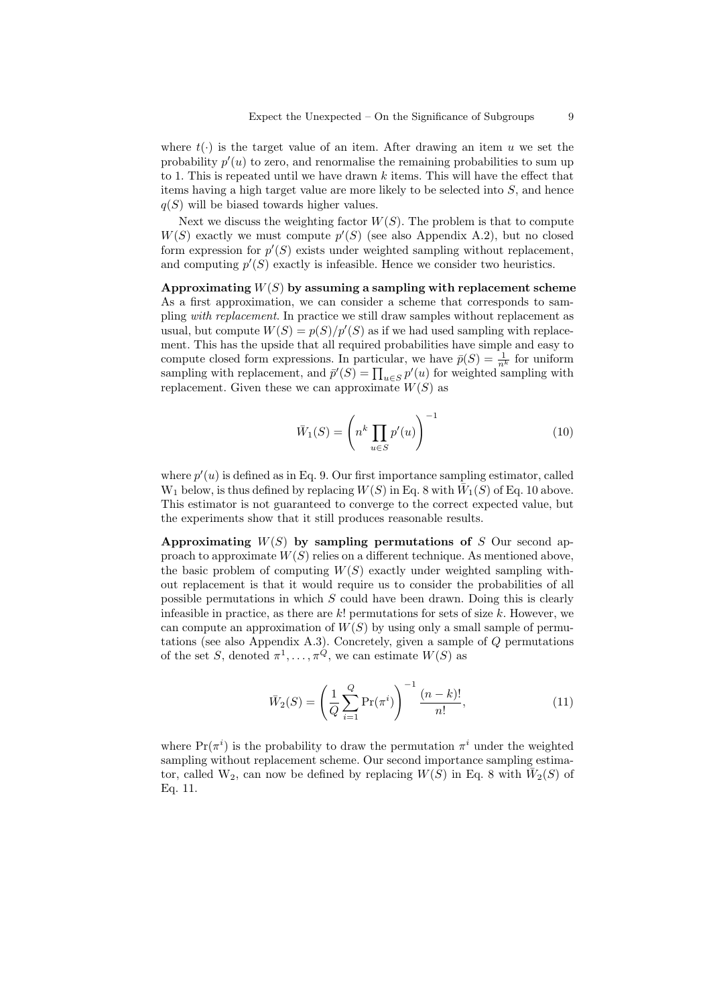where  $t(\cdot)$  is the target value of an item. After drawing an item u we set the probability  $p'(u)$  to zero, and renormalise the remaining probabilities to sum up to 1. This is repeated until we have drawn  $k$  items. This will have the effect that items having a high target value are more likely to be selected into  $S$ , and hence  $q(S)$  will be biased towards higher values.

Next we discuss the weighting factor  $W(S)$ . The problem is that to compute  $W(S)$  exactly we must compute  $p'(S)$  (see also Appendix A.2), but no closed form expression for  $p'(S)$  exists under weighted sampling without replacement, and computing  $p'(S)$  exactly is infeasible. Hence we consider two heuristics.

Approximating  $W(S)$  by assuming a sampling with replacement scheme As a first approximation, we can consider a scheme that corresponds to sampling with replacement. In practice we still draw samples without replacement as usual, but compute  $W(S) = p(S)/p'(S)$  as if we had used sampling with replacement. This has the upside that all required probabilities have simple and easy to compute closed form expressions. In particular, we have  $\bar{p}(S) = \frac{1}{n^k}$  for uniform sampling with replacement, and  $\bar{p}'(S) = \prod_{u \in S} p'(u)$  for weighted sampling with replacement. Given these we can approximate  $W(S)$  as

$$
\bar{W}_1(S) = \left( n^k \prod_{u \in S} p'(u) \right)^{-1} \tag{10}
$$

where  $p'(u)$  is defined as in Eq. 9. Our first importance sampling estimator, called  $W_1$  below, is thus defined by replacing  $W(S)$  in Eq. 8 with  $\overline{W}_1(S)$  of Eq. 10 above. This estimator is not guaranteed to converge to the correct expected value, but the experiments show that it still produces reasonable results.

Approximating  $W(S)$  by sampling permutations of S Our second approach to approximate  $W(S)$  relies on a different technique. As mentioned above, the basic problem of computing  $W(S)$  exactly under weighted sampling without replacement is that it would require us to consider the probabilities of all possible permutations in which S could have been drawn. Doing this is clearly infeasible in practice, as there are  $k!$  permutations for sets of size  $k$ . However, we can compute an approximation of  $W(S)$  by using only a small sample of permutations (see also Appendix A.3). Concretely, given a sample of  $Q$  permutations of the set S, denoted  $\pi^1, \ldots, \pi^Q$ , we can estimate  $W(S)$  as

$$
\bar{W}_2(S) = \left(\frac{1}{Q} \sum_{i=1}^{Q} \Pr(\pi^i)\right)^{-1} \frac{(n-k)!}{n!},\tag{11}
$$

where  $Pr(\pi^{i})$  is the probability to draw the permutation  $\pi^{i}$  under the weighted sampling without replacement scheme. Our second importance sampling estimator, called W<sub>2</sub>, can now be defined by replacing  $W(S)$  in Eq. 8 with  $\overline{W}_2(S)$  of Eq. 11.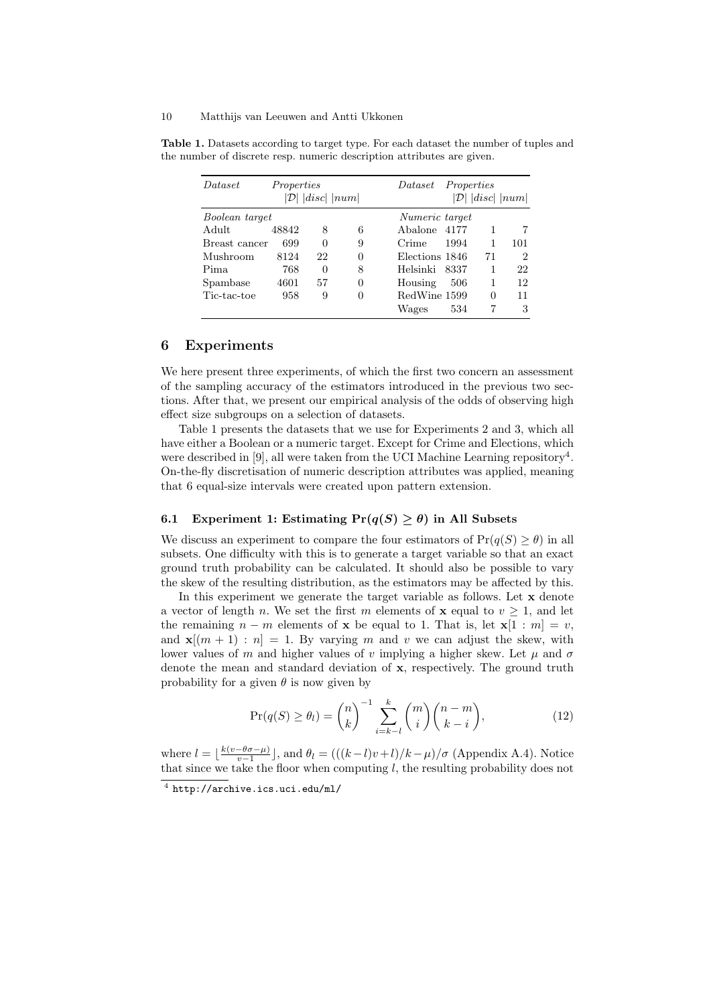| Dataset        | Properties | $ \mathcal{D} $ disc $ num $ |   | Properties<br>$\it Dataset$<br>$ \mathcal{D} $ disc $ num $ |          |     |
|----------------|------------|------------------------------|---|-------------------------------------------------------------|----------|-----|
| Boolean target |            |                              |   | Numeric target                                              |          |     |
| Adult          | 48842      | 8                            | 6 | Abalone<br>4177                                             | 1        |     |
| Breast cancer  | 699        | 0                            | 9 | 1994<br>Crime                                               | 1        | 101 |
| Mushroom       | 8124       | 22                           | 0 | Elections 1846                                              | 71       | 2   |
| Pima.          | 768        | 0                            | 8 | Helsinki<br>8337                                            |          | 22  |
| Spambase       | 4601       | 57                           | 0 | Housing<br>506                                              | 1        | 12  |
| Tic-tac-toe    | 958        | 9                            | 0 | RedWine 1599                                                | $\Omega$ | 11  |
|                |            |                              |   | Wages<br>534                                                |          | 3   |

Table 1. Datasets according to target type. For each dataset the number of tuples and the number of discrete resp. numeric description attributes are given.

### 6 Experiments

We here present three experiments, of which the first two concern an assessment of the sampling accuracy of the estimators introduced in the previous two sections. After that, we present our empirical analysis of the odds of observing high effect size subgroups on a selection of datasets.

Table 1 presents the datasets that we use for Experiments 2 and 3, which all have either a Boolean or a numeric target. Except for Crime and Elections, which were described in [9], all were taken from the UCI Machine Learning repository<sup>4</sup>. On-the-fly discretisation of numeric description attributes was applied, meaning that 6 equal-size intervals were created upon pattern extension.

### 6.1 Experiment 1: Estimating  $Pr(q(S) \geq \theta)$  in All Subsets

We discuss an experiment to compare the four estimators of  $Pr(q(S) \geq \theta)$  in all subsets. One difficulty with this is to generate a target variable so that an exact ground truth probability can be calculated. It should also be possible to vary the skew of the resulting distribution, as the estimators may be affected by this.

In this experiment we generate the target variable as follows. Let  $\bf{x}$  denote a vector of length n. We set the first m elements of **x** equal to  $v \ge 1$ , and let the remaining  $n - m$  elements of x be equal to 1. That is, let  $x[1 : m] = v$ , and  $\mathbf{x}[(m+1):n] = 1$ . By varying m and v we can adjust the skew, with lower values of m and higher values of v implying a higher skew. Let  $\mu$  and  $\sigma$ denote the mean and standard deviation of x, respectively. The ground truth probability for a given  $\theta$  is now given by

$$
\Pr(q(S) \ge \theta_l) = \binom{n}{k}^{-1} \sum_{i=k-l}^{k} \binom{m}{i} \binom{n-m}{k-i},\tag{12}
$$

where  $l = \frac{k(v - \theta \sigma - \mu)}{v - 1}$  $\frac{-\theta\sigma-\mu_j}{v-1}$ , and  $\theta_l = (((k-l)v+l)/k-\mu)/\sigma$  (Appendix A.4). Notice that since we take the floor when computing  $l$ , the resulting probability does not

 $^4$  http://archive.ics.uci.edu/ml/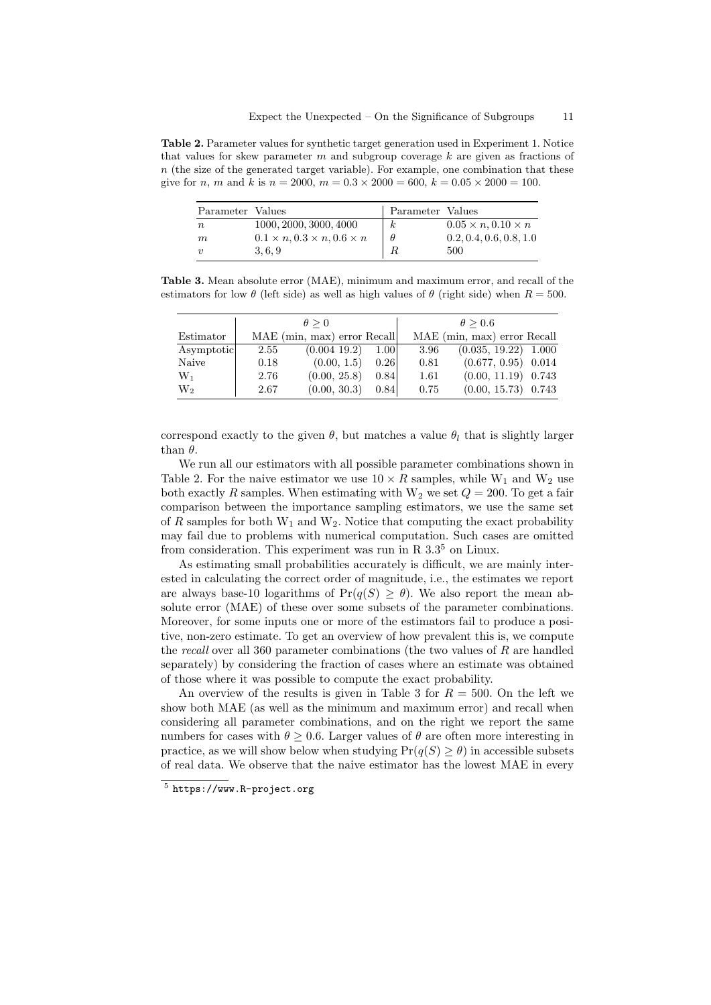Table 2. Parameter values for synthetic target generation used in Experiment 1. Notice that values for skew parameter  $m$  and subgroup coverage  $k$  are given as fractions of  $n$  (the size of the generated target variable). For example, one combination that these give for n, m and k is  $n = 2000$ ,  $m = 0.3 \times 2000 = 600$ ,  $k = 0.05 \times 2000 = 100$ .

| Parameter Values |                                            | Parameter Values |                                |
|------------------|--------------------------------------------|------------------|--------------------------------|
| $\it n$          | 1000, 2000, 3000, 4000                     | k.               | $0.05 \times n, 0.10 \times n$ |
| m                | $0.1 \times n, 0.3 \times n, 0.6 \times n$ | $\theta$         | 0.2, 0.4, 0.6, 0.8, 1.0        |
| $\boldsymbol{v}$ | 3.6.9                                      | R.               | 500                            |

Table 3. Mean absolute error (MAE), minimum and maximum error, and recall of the estimators for low  $\theta$  (left side) as well as high values of  $\theta$  (right side) when  $R = 500$ .

|            |      | $\theta > 0$                |      | $\theta > 0.6$ |                             |  |  |  |
|------------|------|-----------------------------|------|----------------|-----------------------------|--|--|--|
| Estimator  |      | MAE (min, max) error Recall |      |                | MAE (min, max) error Recall |  |  |  |
| Asymptotic | 2.55 | (0.00419.2)                 | 1.00 | 3.96           | $(0.035, 19.22)$ 1.000      |  |  |  |
| Naive      | 0.18 | (0.00, 1.5)                 | 0.26 | 0.81           | $(0.677, 0.95)$ 0.014       |  |  |  |
| W1         | 2.76 | (0.00, 25.8)                | 0.84 | 1.61           | $(0.00, 11.19)$ 0.743       |  |  |  |
| W2         | 2.67 | (0.00, 30.3)                | 0.84 | 0.75           | $(0.00, 15.73)$ 0.743       |  |  |  |

correspond exactly to the given  $\theta$ , but matches a value  $\theta_l$  that is slightly larger than  $\theta$ .

We run all our estimators with all possible parameter combinations shown in Table 2. For the naive estimator we use  $10 \times R$  samples, while W<sub>1</sub> and W<sub>2</sub> use both exactly R samples. When estimating with  $W_2$  we set  $Q = 200$ . To get a fair comparison between the importance sampling estimators, we use the same set of R samples for both  $W_1$  and  $W_2$ . Notice that computing the exact probability may fail due to problems with numerical computation. Such cases are omitted from consideration. This experiment was run in R  $3.3<sup>5</sup>$  on Linux.

As estimating small probabilities accurately is difficult, we are mainly interested in calculating the correct order of magnitude, i.e., the estimates we report are always base-10 logarithms of  $Pr(q(S) \geq \theta)$ . We also report the mean absolute error (MAE) of these over some subsets of the parameter combinations. Moreover, for some inputs one or more of the estimators fail to produce a positive, non-zero estimate. To get an overview of how prevalent this is, we compute the recall over all 360 parameter combinations (the two values of R are handled separately) by considering the fraction of cases where an estimate was obtained of those where it was possible to compute the exact probability.

An overview of the results is given in Table 3 for  $R = 500$ . On the left we show both MAE (as well as the minimum and maximum error) and recall when considering all parameter combinations, and on the right we report the same numbers for cases with  $\theta \geq 0.6$ . Larger values of  $\theta$  are often more interesting in practice, as we will show below when studying  $Pr(q(S) \geq \theta)$  in accessible subsets of real data. We observe that the naive estimator has the lowest MAE in every

<sup>5</sup> https://www.R-project.org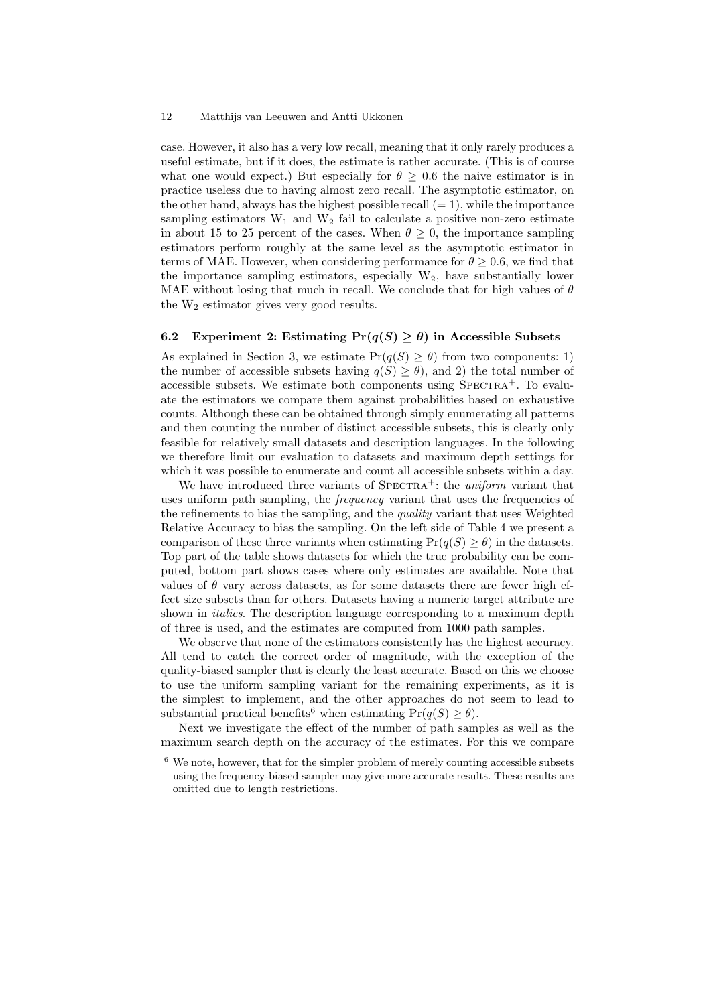case. However, it also has a very low recall, meaning that it only rarely produces a useful estimate, but if it does, the estimate is rather accurate. (This is of course what one would expect.) But especially for  $\theta \geq 0.6$  the naive estimator is in practice useless due to having almost zero recall. The asymptotic estimator, on the other hand, always has the highest possible recall  $(= 1)$ , while the importance sampling estimators  $W_1$  and  $W_2$  fail to calculate a positive non-zero estimate in about 15 to 25 percent of the cases. When  $\theta \geq 0$ , the importance sampling estimators perform roughly at the same level as the asymptotic estimator in terms of MAE. However, when considering performance for  $\theta \geq 0.6$ , we find that the importance sampling estimators, especially  $W_2$ , have substantially lower MAE without losing that much in recall. We conclude that for high values of  $\theta$ the  $W_2$  estimator gives very good results.

### 6.2 Experiment 2: Estimating  $Pr(q(S) \geq \theta)$  in Accessible Subsets

As explained in Section 3, we estimate  $Pr(q(S) \geq \theta)$  from two components: 1) the number of accessible subsets having  $q(S) \geq \theta$ , and 2) the total number of accessible subsets. We estimate both components using  $SPECTRA^+$ . To evaluate the estimators we compare them against probabilities based on exhaustive counts. Although these can be obtained through simply enumerating all patterns and then counting the number of distinct accessible subsets, this is clearly only feasible for relatively small datasets and description languages. In the following we therefore limit our evaluation to datasets and maximum depth settings for which it was possible to enumerate and count all accessible subsets within a day.

We have introduced three variants of  $SPECTRA^+$ : the *uniform* variant that uses uniform path sampling, the *frequency* variant that uses the frequencies of the refinements to bias the sampling, and the quality variant that uses Weighted Relative Accuracy to bias the sampling. On the left side of Table 4 we present a comparison of these three variants when estimating  $Pr(q(S) \geq \theta)$  in the datasets. Top part of the table shows datasets for which the true probability can be computed, bottom part shows cases where only estimates are available. Note that values of  $\theta$  vary across datasets, as for some datasets there are fewer high effect size subsets than for others. Datasets having a numeric target attribute are shown in *italics*. The description language corresponding to a maximum depth of three is used, and the estimates are computed from 1000 path samples.

We observe that none of the estimators consistently has the highest accuracy. All tend to catch the correct order of magnitude, with the exception of the quality-biased sampler that is clearly the least accurate. Based on this we choose to use the uniform sampling variant for the remaining experiments, as it is the simplest to implement, and the other approaches do not seem to lead to substantial practical benefits<sup>6</sup> when estimating  $Pr(q(S) > \theta)$ .

Next we investigate the effect of the number of path samples as well as the maximum search depth on the accuracy of the estimates. For this we compare

 $6\,$  We note, however, that for the simpler problem of merely counting accessible subsets using the frequency-biased sampler may give more accurate results. These results are omitted due to length restrictions.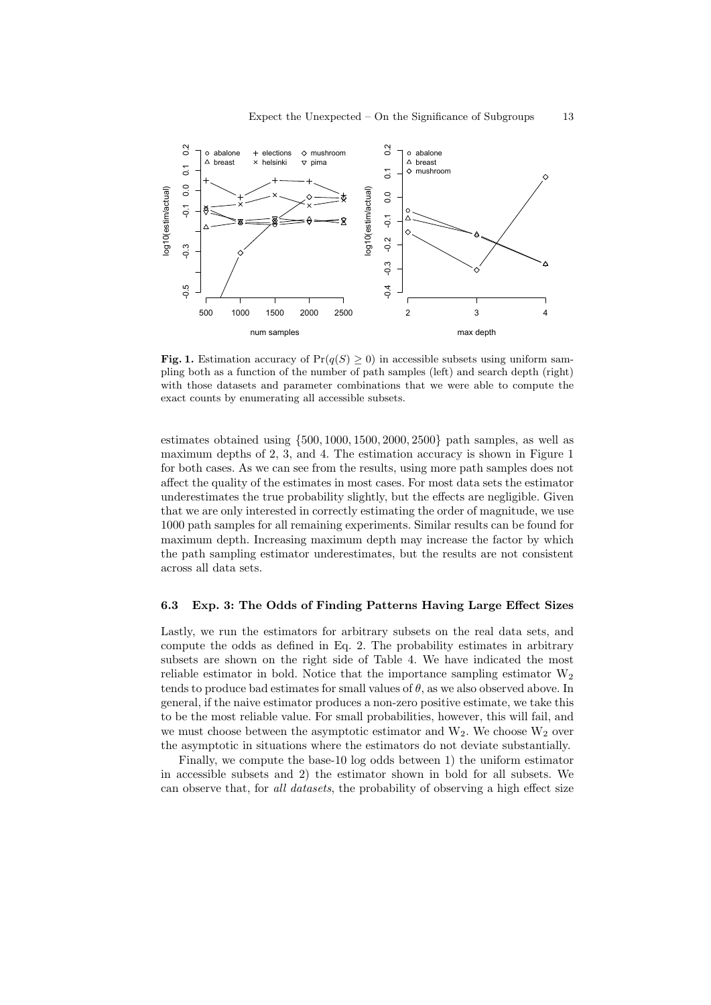

Fig. 1. Estimation accuracy of  $Pr(q(S) \ge 0)$  in accessible subsets using uniform sampling both as a function of the number of path samples (left) and search depth (right) with those datasets and parameter combinations that we were able to compute the exact counts by enumerating all accessible subsets.

estimates obtained using {500, 1000, 1500, 2000, 2500} path samples, as well as maximum depths of 2, 3, and 4. The estimation accuracy is shown in Figure 1 for both cases. As we can see from the results, using more path samples does not affect the quality of the estimates in most cases. For most data sets the estimator underestimates the true probability slightly, but the effects are negligible. Given that we are only interested in correctly estimating the order of magnitude, we use 1000 path samples for all remaining experiments. Similar results can be found for maximum depth. Increasing maximum depth may increase the factor by which the path sampling estimator underestimates, but the results are not consistent across all data sets.

### 6.3 Exp. 3: The Odds of Finding Patterns Having Large Effect Sizes

Lastly, we run the estimators for arbitrary subsets on the real data sets, and compute the odds as defined in Eq. 2. The probability estimates in arbitrary subsets are shown on the right side of Table 4. We have indicated the most reliable estimator in bold. Notice that the importance sampling estimator  $W_2$ tends to produce bad estimates for small values of  $\theta$ , as we also observed above. In general, if the naive estimator produces a non-zero positive estimate, we take this to be the most reliable value. For small probabilities, however, this will fail, and we must choose between the asymptotic estimator and  $W_2$ . We choose  $W_2$  over the asymptotic in situations where the estimators do not deviate substantially.

Finally, we compute the base-10 log odds between 1) the uniform estimator in accessible subsets and 2) the estimator shown in bold for all subsets. We can observe that, for all datasets, the probability of observing a high effect size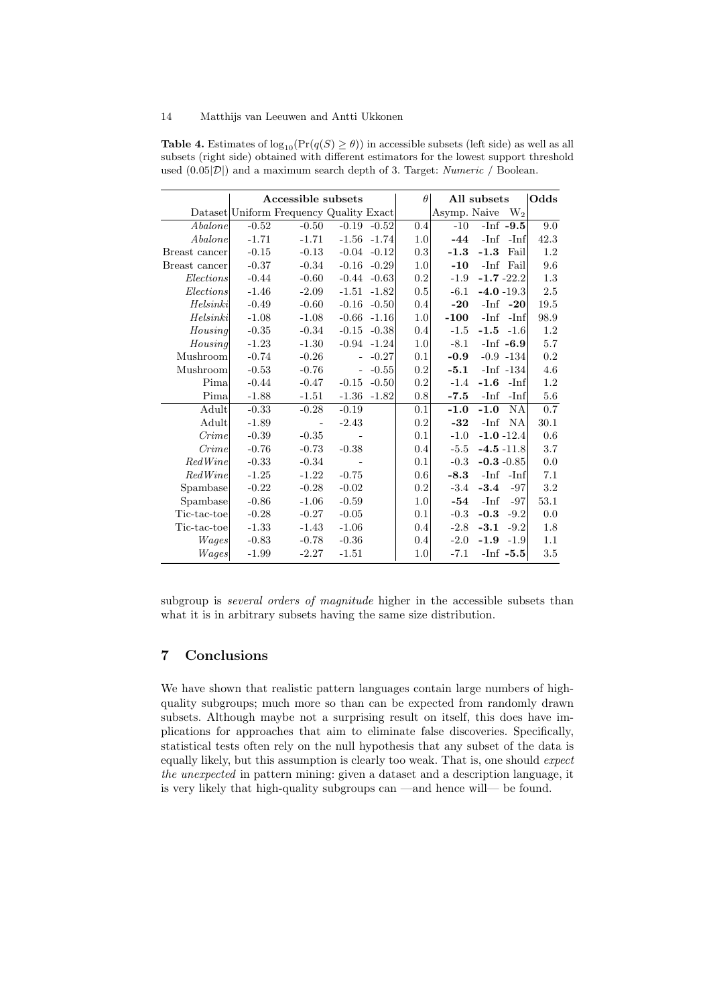|                | Accessible subsets |                                         |          |                 | $\theta$ | All subsets  |        |               | Odds    |
|----------------|--------------------|-----------------------------------------|----------|-----------------|----------|--------------|--------|---------------|---------|
|                |                    | Dataset Uniform Frequency Quality Exact |          |                 |          | Asymp. Naive |        | $W_2$         |         |
| Abalone        | $-0.52$            | $-0.50$                                 | $-0.19$  | $-0.52$         | 0.4      | $-10$        |        | -Inf $-9.5$   | 9.0     |
| Abalone        | $-1.71$            | $-1.71$                                 | $-1.56$  | $-1.74$         | 1.0      | $-44$        | -Inf   | $-Inf$        | 42.3    |
| Breast cancer  | $-0.15$            | $-0.13$                                 | $-0.04$  | $-0.12$         | 0.3      | $-1.3$       | $-1.3$ | Fail          | 1.2     |
| Breast cancer  | $-0.37$            | $-0.34$                                 |          | $-0.16 - 0.29$  | 1.0      | $-10$        | $-Inf$ | Fail          | 9.6     |
| Elections      | $-0.44$            | $-0.60$                                 |          | $-0.44 - 0.63$  | 0.2      | $-1.9$       |        | $-1.7 - 22.2$ | 1.3     |
| Elections      | $-1.46$            | $-2.09$                                 | $-1.51$  | $-1.82$         | 0.5      | $-6.1$       |        | $-4.0 - 19.3$ | 2.5     |
| Helsinki       | $-0.49$            | $-0.60$                                 | $-0.16$  | $-0.50$         | 0.4      | $-20$        |        | -Inf $-20$    | 19.5    |
| Helsinki       | $-1.08$            | $-1.08$                                 | $-0.66$  | $-1.16$         | 1.0      | $-100$       | -Inf   | $-Inf$        | 98.9    |
| Housing        | $-0.35$            | $-0.34$                                 |          | $-0.15 - 0.38$  | 0.4      | $-1.5$       |        | $-1.5 -1.6$   | 1.2     |
| Housing        | $-1.23$            | $-1.30$                                 |          | $-0.94$ $-1.24$ | 1.0      | $-8.1$       |        | -Inf $-6.9$   | 5.7     |
| Mushroom       | $-0.74$            | $-0.26$                                 | $\equiv$ | $-0.27$         | 0.1      | $-0.9$       |        | $-0.9 - 134$  | 0.2     |
| Mushroom       | $-0.53$            | $-0.76$                                 |          | $-0.55$         | 0.2      | $-5.1$       |        | -Inf $-134$   | 4.6     |
| Pima           | $-0.44$            | $-0.47$                                 | $-0.15$  | $-0.50$         | 0.2      | $-1.4$       | $-1.6$ | $-Inf$        | 1.2     |
| Pima           | $-1.88$            | $-1.51$                                 | $-1.36$  | $-1.82$         | 0.8      | $-7.5$       | $-Inf$ | $-Inf$        | 5.6     |
| Adult          | $-0.33$            | $-0.28$                                 | $-0.19$  |                 | 0.1      | $-1.0$       | $-1.0$ | NA            | 0.7     |
| Adult          | $-1.89$            | $\overline{\phantom{a}}$                | $-2.43$  |                 | 0.2      | $-32$        | $-Inf$ | <b>NA</b>     | 30.1    |
| Crime          | $-0.39$            | $-0.35$                                 |          |                 | 0.1      | $-1.0$       |        | $-1.0 - 12.4$ | 0.6     |
| Crime          | $-0.76$            | $-0.73$                                 | $-0.38$  |                 | 0.4      | $-5.5$       |        | $-4.5 - 11.8$ | 3.7     |
| Red Wine       | $-0.33$            | $-0.34$                                 |          |                 | 0.1      | $-0.3$       |        | $-0.3 - 0.85$ | 0.0     |
| <b>RedWine</b> | $-1.25$            | $-1.22$                                 | $-0.75$  |                 | 0.6      | $-8.3$       |        | $-Inf$ $-Inf$ | 7.1     |
| Spambase       | $-0.22$            | $-0.28$                                 | $-0.02$  |                 | 0.2      | $-3.4$       | $-3.4$ | $-97$         | $3.2\,$ |
| Spambase       | $-0.86$            | $-1.06$                                 | $-0.59$  |                 | 1.0      | $-54$        | $-Inf$ | $-97$         | 53.1    |
| Tic-tac-toe    | $-0.28$            | $-0.27$                                 | $-0.05$  |                 | 0.1      | $-0.3$       | $-0.3$ | $-9.2$        | 0.0     |
| Tic-tac-toe    | $-1.33$            | $-1.43$                                 | $-1.06$  |                 | 0.4      | $-2.8$       | $-3.1$ | $-9.2$        | 1.8     |
| Wages          | $-0.83$            | $-0.78$                                 | $-0.36$  |                 | 0.4      | $-2.0$       | $-1.9$ | $-1.9$        | 1.1     |
| Wages          | $-1.99$            | $-2.27$                                 | $-1.51$  |                 | 1.0      | $-7.1$       |        | $-Inf - 5.5$  | 3.5     |

Table 4. Estimates of  $\log_{10}(\Pr(q(S) \ge \theta))$  in accessible subsets (left side) as well as all subsets (right side) obtained with different estimators for the lowest support threshold used  $(0.05|\mathcal{D}|)$  and a maximum search depth of 3. Target: Numeric / Boolean.

subgroup is *several orders of magnitude* higher in the accessible subsets than what it is in arbitrary subsets having the same size distribution.

## 7 Conclusions

We have shown that realistic pattern languages contain large numbers of highquality subgroups; much more so than can be expected from randomly drawn subsets. Although maybe not a surprising result on itself, this does have implications for approaches that aim to eliminate false discoveries. Specifically, statistical tests often rely on the null hypothesis that any subset of the data is equally likely, but this assumption is clearly too weak. That is, one should expect the unexpected in pattern mining: given a dataset and a description language, it is very likely that high-quality subgroups can —and hence will— be found.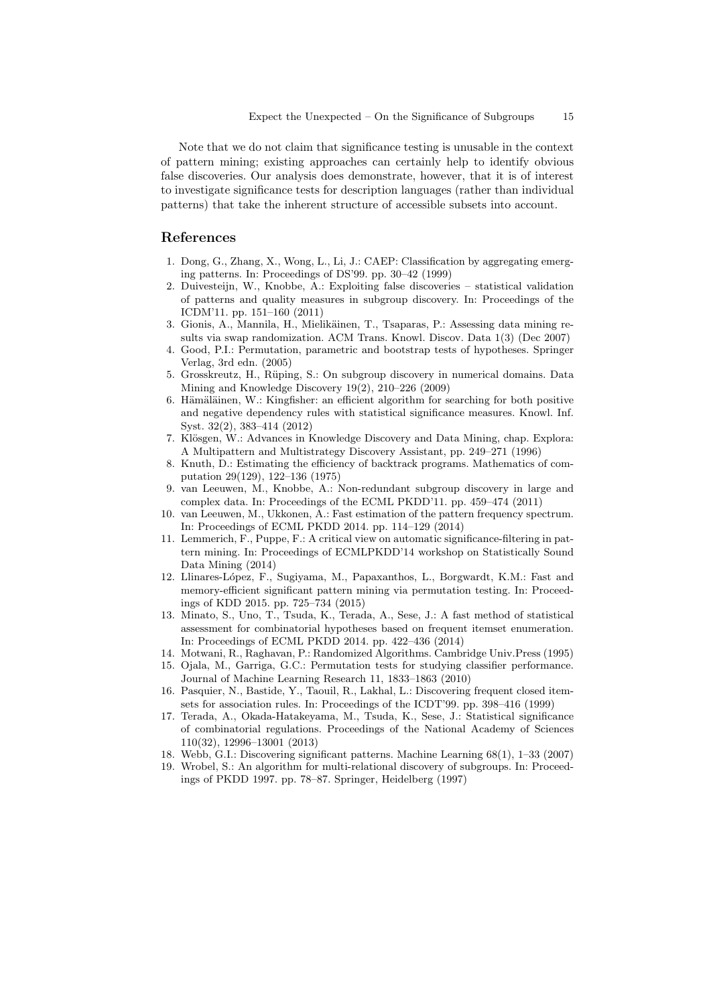Note that we do not claim that significance testing is unusable in the context of pattern mining; existing approaches can certainly help to identify obvious false discoveries. Our analysis does demonstrate, however, that it is of interest to investigate significance tests for description languages (rather than individual patterns) that take the inherent structure of accessible subsets into account.

### References

- 1. Dong, G., Zhang, X., Wong, L., Li, J.: CAEP: Classification by aggregating emerging patterns. In: Proceedings of DS'99. pp. 30–42 (1999)
- 2. Duivesteijn, W., Knobbe, A.: Exploiting false discoveries statistical validation of patterns and quality measures in subgroup discovery. In: Proceedings of the ICDM'11. pp. 151–160 (2011)
- 3. Gionis, A., Mannila, H., Mielikäinen, T., Tsaparas, P.: Assessing data mining results via swap randomization. ACM Trans. Knowl. Discov. Data 1(3) (Dec 2007)
- 4. Good, P.I.: Permutation, parametric and bootstrap tests of hypotheses. Springer Verlag, 3rd edn. (2005)
- 5. Grosskreutz, H., R¨uping, S.: On subgroup discovery in numerical domains. Data Mining and Knowledge Discovery 19(2), 210–226 (2009)
- 6. Hämäläinen, W.: Kingfisher: an efficient algorithm for searching for both positive and negative dependency rules with statistical significance measures. Knowl. Inf. Syst. 32(2), 383–414 (2012)
- 7. Klösgen, W.: Advances in Knowledge Discovery and Data Mining, chap. Explora: A Multipattern and Multistrategy Discovery Assistant, pp. 249–271 (1996)
- 8. Knuth, D.: Estimating the efficiency of backtrack programs. Mathematics of computation 29(129), 122–136 (1975)
- 9. van Leeuwen, M., Knobbe, A.: Non-redundant subgroup discovery in large and complex data. In: Proceedings of the ECML PKDD'11. pp. 459–474 (2011)
- 10. van Leeuwen, M., Ukkonen, A.: Fast estimation of the pattern frequency spectrum. In: Proceedings of ECML PKDD 2014. pp. 114–129 (2014)
- 11. Lemmerich, F., Puppe, F.: A critical view on automatic significance-filtering in pattern mining. In: Proceedings of ECMLPKDD'14 workshop on Statistically Sound Data Mining (2014)
- 12. Llinares-López, F., Sugiyama, M., Papaxanthos, L., Borgwardt, K.M.: Fast and memory-efficient significant pattern mining via permutation testing. In: Proceedings of KDD 2015. pp. 725–734 (2015)
- 13. Minato, S., Uno, T., Tsuda, K., Terada, A., Sese, J.: A fast method of statistical assessment for combinatorial hypotheses based on frequent itemset enumeration. In: Proceedings of ECML PKDD 2014. pp. 422–436 (2014)
- 14. Motwani, R., Raghavan, P.: Randomized Algorithms. Cambridge Univ.Press (1995)
- 15. Ojala, M., Garriga, G.C.: Permutation tests for studying classifier performance. Journal of Machine Learning Research 11, 1833–1863 (2010)
- 16. Pasquier, N., Bastide, Y., Taouil, R., Lakhal, L.: Discovering frequent closed itemsets for association rules. In: Proceedings of the ICDT'99. pp. 398–416 (1999)
- 17. Terada, A., Okada-Hatakeyama, M., Tsuda, K., Sese, J.: Statistical significance of combinatorial regulations. Proceedings of the National Academy of Sciences 110(32), 12996–13001 (2013)
- 18. Webb, G.I.: Discovering significant patterns. Machine Learning 68(1), 1–33 (2007)
- 19. Wrobel, S.: An algorithm for multi-relational discovery of subgroups. In: Proceedings of PKDD 1997. pp. 78–87. Springer, Heidelberg (1997)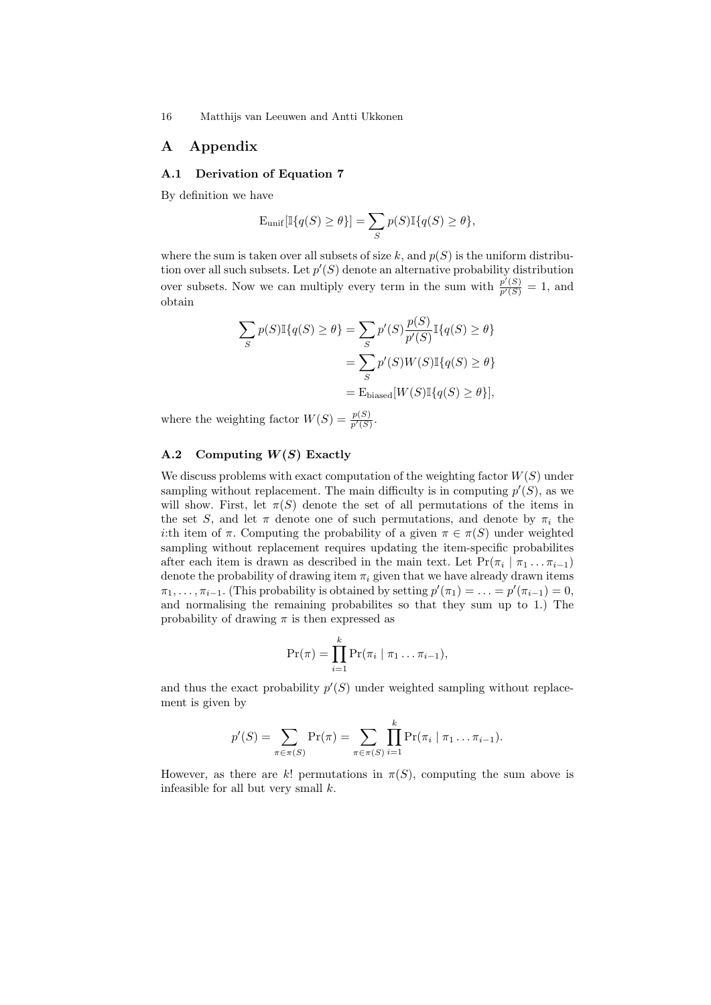### A Appendix

### A.1 Derivation of Equation 7

By definition we have

$$
\mathrm{E}_{\mathrm{unif}}[\mathbb{I}\{q(S)\geq\theta\}]=\sum_{S}p(S)\mathbb{I}\{q(S)\geq\theta\},
$$

where the sum is taken over all subsets of size k, and  $p(S)$  is the uniform distribution over all such subsets. Let  $p'(S)$  denote an alternative probability distribution over subsets. Now we can multiply every term in the sum with  $\frac{p'(S)}{p'(S)} = 1$ , and obtain

$$
\sum_{S} p(S) \mathbb{I}\{q(S) \ge \theta\} = \sum_{S} p'(S) \frac{p(S)}{p'(S)} \mathbb{I}\{q(S) \ge \theta\}
$$

$$
= \sum_{S} p'(S)W(S) \mathbb{I}\{q(S) \ge \theta\}
$$

$$
= \text{E}_{\text{biased}}[W(S) \mathbb{I}\{q(S) \ge \theta\}],
$$

where the weighting factor  $W(S) = \frac{p(S)}{p'(S)}$ .

#### A.2 Computing  $W(S)$  Exactly

We discuss problems with exact computation of the weighting factor  $W(S)$  under sampling without replacement. The main difficulty is in computing  $p'(S)$ , as we will show. First, let  $\pi(S)$  denote the set of all permutations of the items in the set S, and let  $\pi$  denote one of such permutations, and denote by  $\pi_i$  the i:th item of  $\pi$ . Computing the probability of a given  $\pi \in \pi(S)$  under weighted sampling without replacement requires updating the item-specific probabilites after each item is drawn as described in the main text. Let  $Pr(\pi_i \mid \pi_1 \dots \pi_{i-1})$ denote the probability of drawing item  $\pi_i$  given that we have already drawn items  $\pi_1, \ldots, \pi_{i-1}$ . (This probability is obtained by setting  $p'(\pi_1) = \ldots = p'(\pi_{i-1}) = 0$ , and normalising the remaining probabilites so that they sum up to 1.) The probability of drawing  $\pi$  is then expressed as

$$
\Pr(\pi) = \prod_{i=1}^{k} \Pr(\pi_i \mid \pi_1 \dots \pi_{i-1}),
$$

and thus the exact probability  $p'(S)$  under weighted sampling without replacement is given by

$$
p'(S) = \sum_{\pi \in \pi(S)} \Pr(\pi) = \sum_{\pi \in \pi(S)} \prod_{i=1}^{k} \Pr(\pi_i \mid \pi_1 \dots \pi_{i-1}).
$$

However, as there are k! permutations in  $\pi(S)$ , computing the sum above is infeasible for all but very small  $k$ .